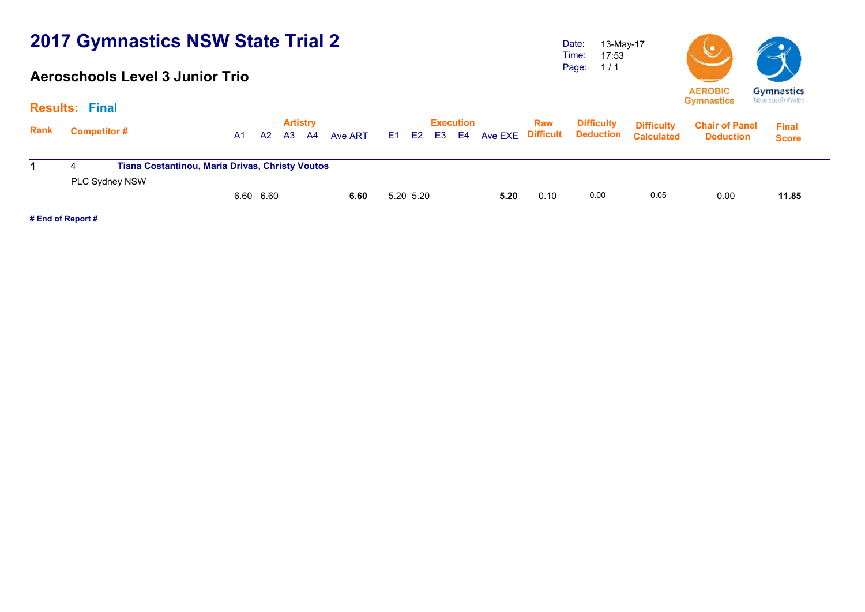#### **Aeroschools Level 3 Junior Trio**

Date: Time: Page: 13-May-17 17:53 1 / 1



**Gymnastics Gymnastics** New South Wales

|      | <b>Results: Final</b>                                                    |           |           |                              |      |         |     |           |    |                        |                |                  |                                       |                                        |                                           |                              |  |
|------|--------------------------------------------------------------------------|-----------|-----------|------------------------------|------|---------|-----|-----------|----|------------------------|----------------|------------------|---------------------------------------|----------------------------------------|-------------------------------------------|------------------------------|--|
| Rank | Competitor #                                                             | <b>A1</b> | <b>A2</b> | <b>Artistry</b><br><b>A3</b> | - A4 | Ave ART | E1. | E2        | E3 | <b>Execution</b><br>E4 | <b>Ave EXE</b> | Raw<br>Difficult | <b>Difficulty</b><br><b>Deduction</b> | <b>Difficulty</b><br><b>Calculated</b> | <b>Chair of Panel</b><br><b>Deduction</b> | <b>Final</b><br><b>Score</b> |  |
|      | <b>Tiana Costantinou, Maria Drivas, Christy Voutos</b><br>PLC Sydney NSW |           |           |                              |      |         |     |           |    |                        |                |                  |                                       |                                        |                                           |                              |  |
|      |                                                                          | 6.60 6.60 |           |                              |      | 6.60    |     | 5.20 5.20 |    |                        | 5.20           | 0.10             | 0.00                                  | 0.05                                   | 0.00                                      | 11.85                        |  |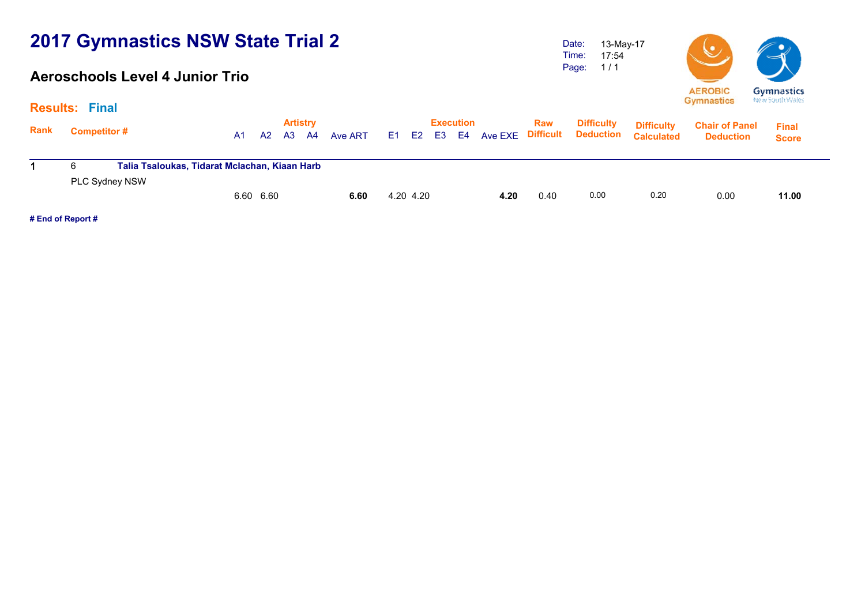#### **Aeroschools Level 4 Junior Trio**

Date: Time: Page: 13-May-17 17:54 1 / 1



|      | <b>Results: Final</b>                                                |           |                       |               |           |                                     |      |      |                                                  |                                        |                                           |                              |  |
|------|----------------------------------------------------------------------|-----------|-----------------------|---------------|-----------|-------------------------------------|------|------|--------------------------------------------------|----------------------------------------|-------------------------------------------|------------------------------|--|
| Rank | <b>Competitor#</b>                                                   | A2<br>A1  | <b>Artistry</b><br>A3 | Ave ART<br>A4 | E1 E2     | <b>Execution</b><br>E3<br><b>E4</b> |      | Raw  | <b>Difficulty</b><br>Ave EXE Difficult Deduction | <b>Difficulty</b><br><b>Calculated</b> | <b>Chair of Panel</b><br><b>Deduction</b> | <b>Final</b><br><b>Score</b> |  |
|      | Talia Tsaloukas, Tidarat Mclachan, Kiaan Harb<br>6<br>PLC Sydney NSW |           |                       |               |           |                                     |      |      |                                                  |                                        |                                           |                              |  |
|      |                                                                      | 6.60 6.60 |                       | 6.60          | 4.20 4.20 |                                     | 4.20 | 0.40 | 0.00                                             | 0.20                                   | 0.00                                      | 11.00                        |  |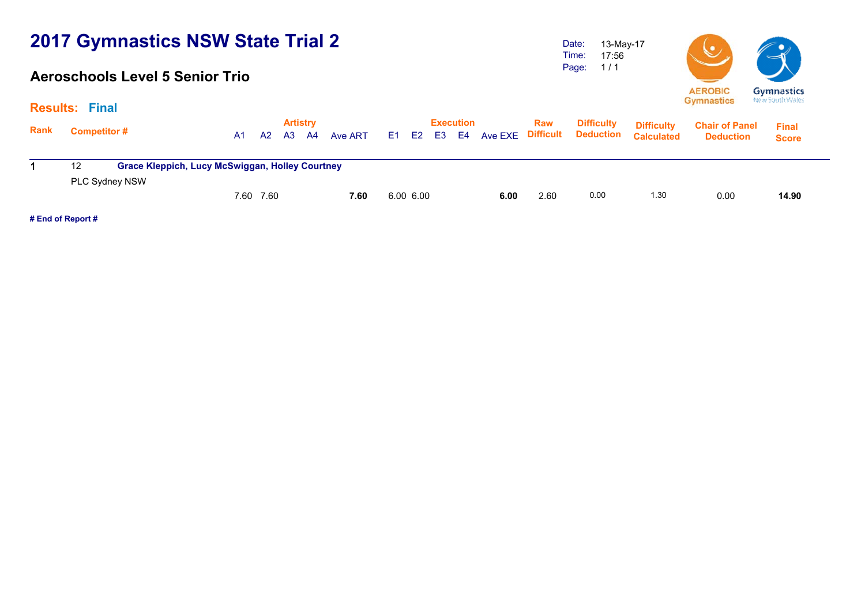### **Aeroschools Level 5 Senior Trio**

Date: Time: Page: 13-May-17 17:56 1 / 1



**Artistry Execution Rank**Execution Raw Difficulty <sub>Diffic</sub>ulty<br>A1 A2 A3 A4 Ave ART E1 E2 E3 E4 Ave EXE Difficult Deduction <sub>Calculate</sub> **Chair of Panel Deduction Results: Final Final Score Difficulty Deduction Difficulty Calculated**1 12 **Grace Kleppich, Lucy McSwiggan, Holley Courtney** PLC Sydney NSW 7.60 7.60 **7.60** 6.00 6.00 **6.00** 2.60 0.00 1.30 0.00 **14.90**14.90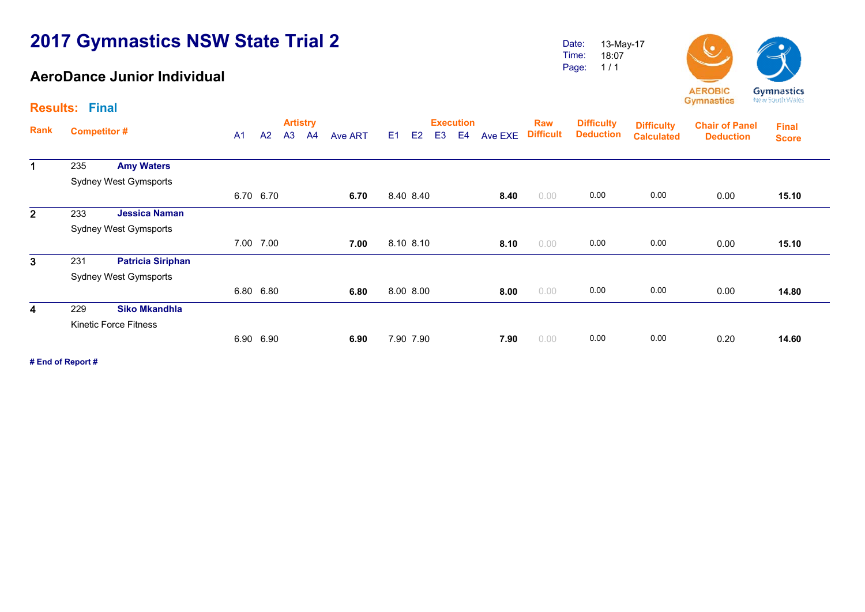### **AeroDance Junior Individual**

Date: Time: Page: 13-May-17 18:07 1 / 1



**Artistry Execution Rank**Execution Raw Difficulty <sub>Diffic</sub>ulty<br>A1 A2 A3 A4 Ave ART E1 E2 E3 E4 Ave EXE Difficult Deduction <sub>Calculate</sub> **Chair of Panel DeductionDeduction Deduction Results: FinalFinal Score Difficulty Difficulty Calculated**1 235 **Amy Waters** Sydney West Gymsports 6.70 6.70 **6.706.70** 8.40 **8.40 8.40** 0.00 **0.00 0.00 0.00 0.00** 15.10 2 233 **Jessica Naman** Sydney West Gymsports 7.00 7.00 **7.007.00** 8.10 8.10 **8.10** 0.00 0.00 0.00 0.00 0.00 15.10 3 231 **Patricia Siriphan** Sydney West Gymsports 6.80 6.80 **6.80** 8.00 8.00 **8.00** 0.00 0.00 0.00 0.00 **14.80**14.80 4 229 **Siko Mkandhla** Kinetic Force Fitness 6.90 6.90 **6.906.90** 7.90 7.90 0.00 0.00 0.00 0.20 14.60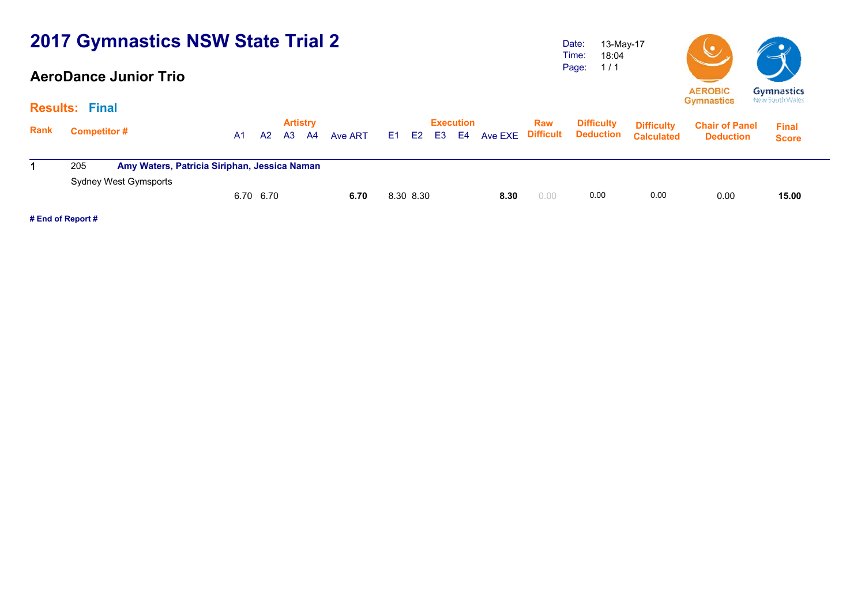### **AeroDance Junior Trio**

Date: Time: Page: 13-May-17 18:04 1 / 1



|             | <b>Results: Final</b>                               |    |           |    |                              |         |           |    |                        |      |      |                   |                                                             |                                           |                              |  |
|-------------|-----------------------------------------------------|----|-----------|----|------------------------------|---------|-----------|----|------------------------|------|------|-------------------|-------------------------------------------------------------|-------------------------------------------|------------------------------|--|
| <b>Rank</b> | <b>Competitor #</b>                                 | A1 | A2        | A3 | <b>Artistry</b><br><b>A4</b> | Ave ART | E1 E2     | E3 | <b>Execution</b><br>E4 |      | Raw  | <b>Difficulty</b> | <b>Difficulty</b><br>Ave EXE Difficult Deduction Calculated | <b>Chair of Panel</b><br><b>Deduction</b> | <b>Final</b><br><b>Score</b> |  |
|             | Amy Waters, Patricia Siriphan, Jessica Naman<br>205 |    |           |    |                              |         |           |    |                        |      |      |                   |                                                             |                                           |                              |  |
|             | Sydney West Gymsports                               |    | 6.70 6.70 |    |                              | 6.70    | 8.30 8.30 |    |                        | 8.30 | 0.00 | 0.00              | 0.00                                                        | 0.00                                      | 15.00                        |  |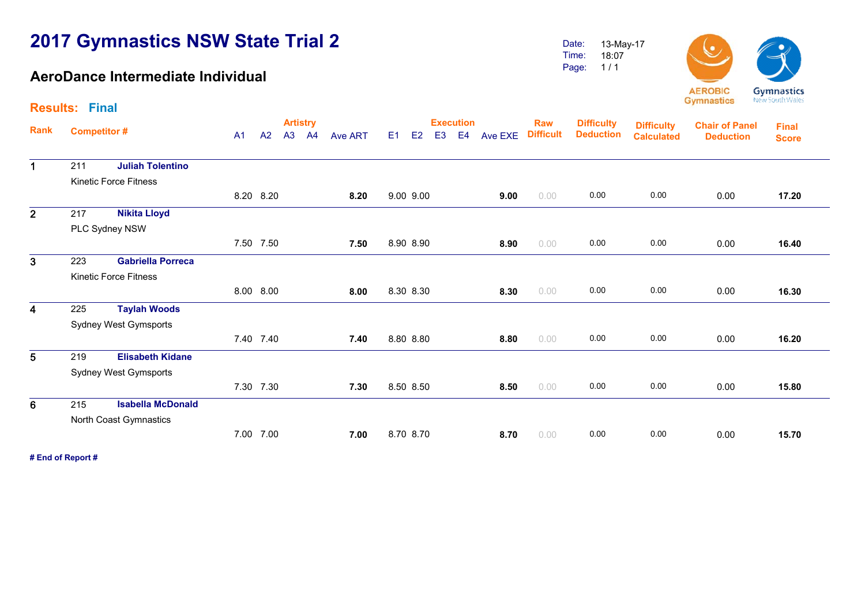### **AeroDance Intermediate Individual**

18:07



**Artistry Execution Rank**Execution Raw Difficulty <sub>Diffic</sub>ulty<br>A1 A2 A3 A4 Ave ART E1 E2 E3 E4 Ave EXE Difficult Deduction <sub>Calculate</sub> **Chair of Panel Deduction Results: Final Final ScoreDifficulty Deduction Difficulty Calculated**1 211 **Juliah Tolentino** Kinetic Force Fitness8.20 8.20 **8.20** 9.00 9.00 **9.00** 0.00 0.00 0.00 0.00 **17.20**17.20 2 217 **Nikita Lloyd** PLC Sydney NSW 7.50 7.50 **7.507.50** 8.90 8.90 **8.90 8.90** 0.00 0.00 0.00 0.00 0.00 16.40 3 223 **Gabriella Porreca** Kinetic Force Fitness 8.00 8.00 **8.008.00 8.30 8.30 <b>8.30 8.30** 0.00 **0.00 0.00 0.00 0.00 0.00** 16.30 4 225 **Taylah Woods** Sydney West Gymsports 7.40 7.40 **7.407.40** 8.80 8.80 **8.80** 0.00 0.00 0.00 0.00 0.00 16.20 5 219 **Elisabeth Kidane** Sydney West Gymsports 7.30 7.30 **7.307.30** 8.50 8.50 **8.50** 0.00 0.00 0.00 0.00 0.00 15.80 6 215 **Isabella McDonald** North Coast Gymnastics 7.00 7.00 **7.007.00** 8.70 8.70 **8.70 0.00 0.00 0.00 0.00 0.00** 15.70

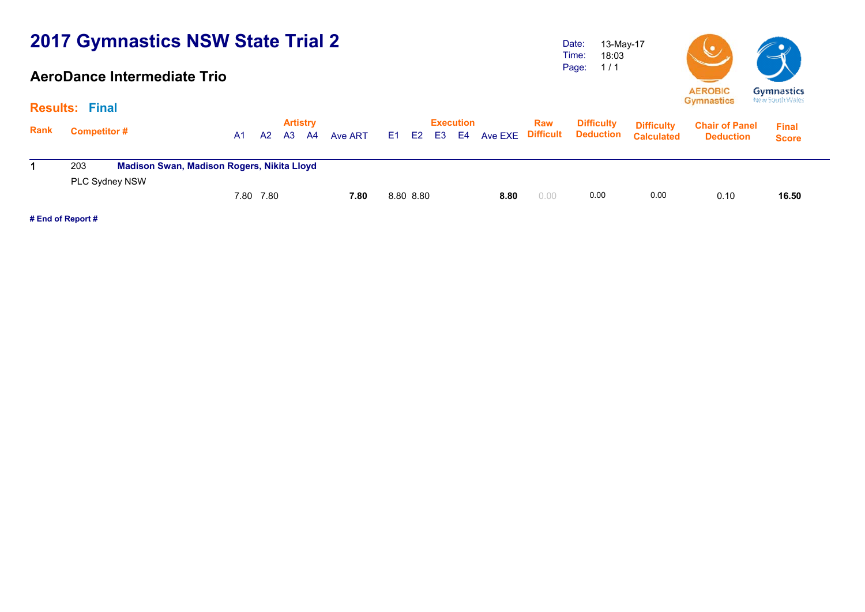#### **AeroDance Intermediate Trio**

Date: Time: Page: 13-May-17 18:03 1 / 1



|             | <b>Results: Final</b>                                                             |     |           |    |                         |         |           |    |                        |                   |            |                                       |                                        |                                           |                              |  |
|-------------|-----------------------------------------------------------------------------------|-----|-----------|----|-------------------------|---------|-----------|----|------------------------|-------------------|------------|---------------------------------------|----------------------------------------|-------------------------------------------|------------------------------|--|
| <b>Rank</b> | <b>Competitor#</b>                                                                | A1. | A2        | A3 | <b>Artistry</b><br>- A4 | Ave ART | E1 E2     | E3 | <b>Execution</b><br>E4 | Ave EXE Difficult | <b>Raw</b> | <b>Difficulty</b><br><b>Deduction</b> | <b>Difficulty</b><br><b>Calculated</b> | <b>Chair of Panel</b><br><b>Deduction</b> | <b>Final</b><br><b>Score</b> |  |
|             | <b>Madison Swan, Madison Rogers, Nikita Lloyd</b><br>203<br><b>PLC Sydney NSW</b> |     |           |    |                         |         |           |    |                        |                   |            |                                       |                                        |                                           |                              |  |
|             |                                                                                   |     | 7.80 7.80 |    |                         | 7.80    | 8.80 8.80 |    |                        | 8.80              | 0.00       | 0.00                                  | 0.00                                   | 0.10                                      | 16.50                        |  |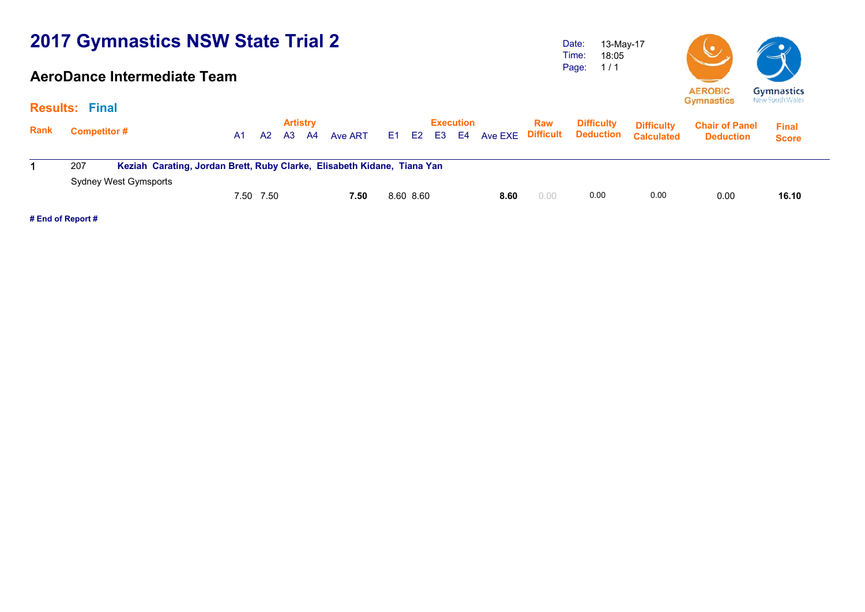### **AeroDance Intermediate Team**

Date: Time: Page: 13-May-17 18:05 1 / 1



**Gymnastics** New South Wales

|             | <b>Results: Final</b>                                                                                   |                 |                                    |                                   |                             |                                          |                                        | $-$ , $-$ , $-$ , $-$ , $-$ , $-$ , $-$ , $-$ , $-$ , $-$ , $-$ , $-$ , $-$ , $-$ , $-$ , $-$ , $-$ , $-$ , $-$ , $-$ , $-$ , $-$ , $-$ , $-$ , $-$ , $-$ , $-$ , $-$ , $-$ , $-$ , $-$ , $-$ , $-$ , $-$ , $-$ , $-$ , $-$ , |                              |
|-------------|---------------------------------------------------------------------------------------------------------|-----------------|------------------------------------|-----------------------------------|-----------------------------|------------------------------------------|----------------------------------------|-------------------------------------------------------------------------------------------------------------------------------------------------------------------------------------------------------------------------------|------------------------------|
| <b>Rank</b> | <b>Competitor#</b>                                                                                      | A2<br>A3<br>A1. | <b>Artistry</b><br>Ave ART<br>- A4 | Execution<br>E2<br>E <sub>1</sub> | <b>Raw</b><br>E3 E4 Ave EXE | <b>Difficulty</b><br>Difficult Deduction | <b>Difficulty</b><br><b>Calculated</b> | <b>Chair of Panel</b><br><b>Deduction</b>                                                                                                                                                                                     | <b>Final</b><br><b>Score</b> |
|             | Keziah Carating, Jordan Brett, Ruby Clarke, Elisabeth Kidane, Tiana Yan<br>207<br>Sydney West Gymsports |                 |                                    |                                   |                             |                                          |                                        |                                                                                                                                                                                                                               |                              |
|             |                                                                                                         | 7.50 7.50       | 7.50                               | 8.60 8.60                         | 0.00<br>8.60                | 0.00                                     | 0.00                                   | 0.00                                                                                                                                                                                                                          | 16.10                        |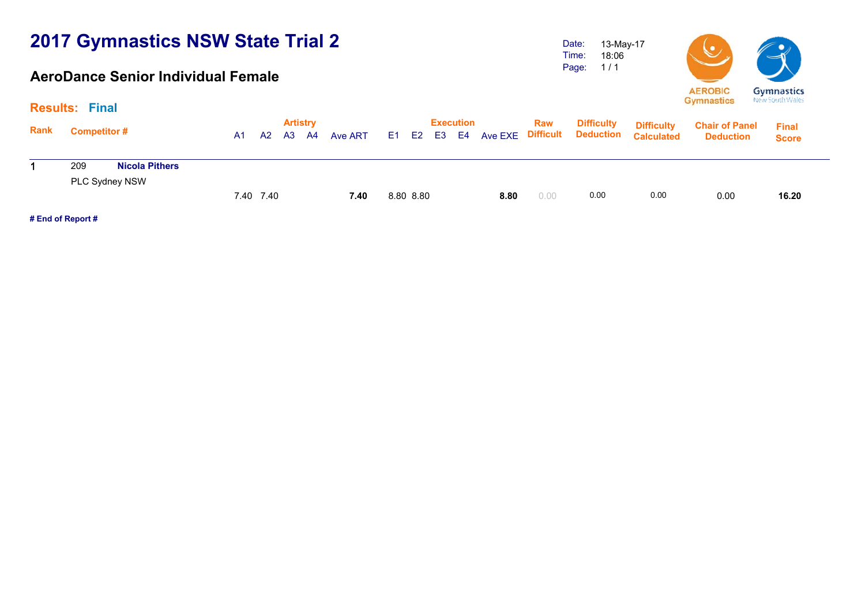#### **AeroDance Senior Individual Female**

Date: Time: Page: 13-May-17 18:06 1 / 1



| <b>Results: Final</b>        |                |    |    |           |                 |  |       |           |       |                  |                   |                                        |                                           |                              |  |
|------------------------------|----------------|----|----|-----------|-----------------|--|-------|-----------|-------|------------------|-------------------|----------------------------------------|-------------------------------------------|------------------------------|--|
| <b>Competitor #</b>          | A <sub>1</sub> | A2 | A3 | A4        | Ave ART         |  |       |           |       | <b>Raw</b>       | <b>Difficulty</b> | <b>Difficulty</b><br><b>Calculated</b> | <b>Chair of Panel</b><br><b>Deduction</b> | <b>Final</b><br><b>Score</b> |  |
| 209<br><b>Nicola Pithers</b> |                |    |    |           |                 |  |       |           |       |                  |                   |                                        |                                           |                              |  |
|                              |                |    |    |           | 7.40            |  |       |           | 8.80  | 0.00             | 0.00              | 0.00                                   | 0.00                                      | 16.20                        |  |
|                              | PLC Sydney NSW |    |    | 7.40 7.40 | <b>Artistry</b> |  | E1 E2 | 8.80 8.80 | E3 E4 | <b>Execution</b> |                   |                                        | <b>Ave EXE Difficult Deduction</b>        |                              |  |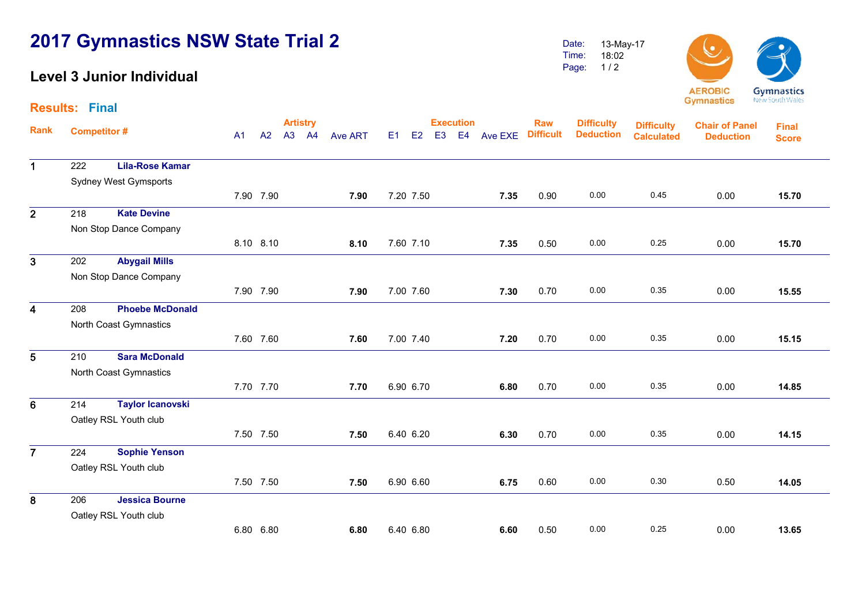### **Level 3 Junior Individual**

1

2

 $\overline{3}$ 

4

5

6

 $\overline{7}$ 

Date: Time:Page: 13-May-17 18:02 1 / 2



**Artistry Execution Rank**Execution Raw Difficulty <sub>Diffic</sub>ulty<br>A1 A2 A3 A4 Ave ART E1 E2 E3 E4 Ave EXE Difficult Deduction <sub>Calculate</sub> **Chair of Panel DeductionResults: FinalFinal ScoreDifficulty DeductionDifficulty Calculated** 222 **Lila-Rose Kamar** Sydney West Gymsports 7.90 7.90 **7.90** 7.20 7.50 **7.35** 0.90 0.00 0.45 0.00 **15.70**15.70 218 **Kate Devine** Non Stop Dance Company 8.10 8.10 **8.10** 7.60 7.10 **7.35** 0.50 0.00 0.25 0.00 **15.70** 202 **Abygail Mills** Non Stop Dance Company 7.90 7.90 **7.90** 7.00 7.60 **7.30** 0.70 0.00 0.35 0.00 **15.55**15.55 208 **Phoebe McDonald** North Coast Gymnastics 7.60 7.60 **7.60** 7.00 7.40 **7.20** 0.70 0.00 0.35 0.00 **15.15**15.15 210 **Sara McDonald** North Coast Gymnastics 7.70 7.70 **7.70** 6.90 6.70 **6.80** 0.70 0.00 0.35 0.00 **14.85**14.85 214 **Taylor Icanovski** Oatley RSL Youth club 7.50 7.50 **7.50** 6.40 6.20 **6.30** 0.70 0.00 0.35 0.00 **14.15**14.15 224 **Sophie Yenson**

Oatley RSL Youth club 7.50 7.50 **7.507.50** 6.90 6.60 **6.75** 0.60 0.00 0.30 0.50 14.05 8 206 **Jessica Bourne** Oatley RSL Youth club 6.80 6.80 **6.80**6.40 6.80 **6.60** 0.50 0.00 0.25 0.00 **13.65**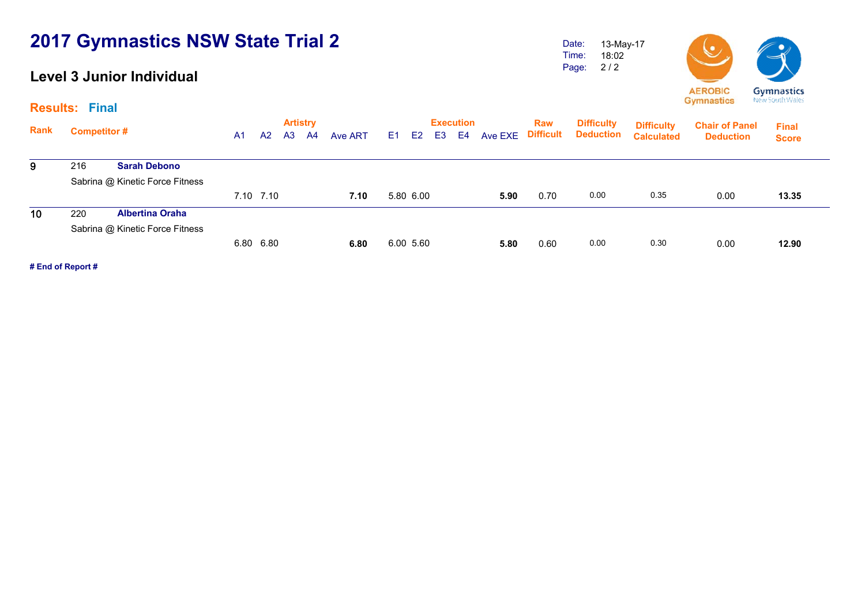### **Level 3 Junior Individual**

Date: Time: Page: 13-May-17 18:02 2 / 2



**Artistry Execution Rank**Execution Raw Difficulty <sub>Diffic</sub>ulty<br>A1 A2 A3 A4 Ave ART E1 E2 E3 E4 Ave EXE Difficult Deduction <sub>Calculate</sub> **Chair of Panel Deduction Final Score Difficulty Deduction Difficulty Calculated** $\overline{9}$  216 **Sarah Debono** Sabrina @ Kinetic Force Fitness 7.10 7.10 **7.10** 5.80 6.00 **5.90** 0.70 0.00 0.35 0.00 **13.35**13.35  $\overline{10}$  220 **Albertina Oraha** Sabrina @ Kinetic Force Fitness 6.80 6.80 **6.80** 6.00 5.60 **5.80** 0.60 0.00 0.30 0.00 **12.90**12.90

**# End of Report #**

**Results: Final**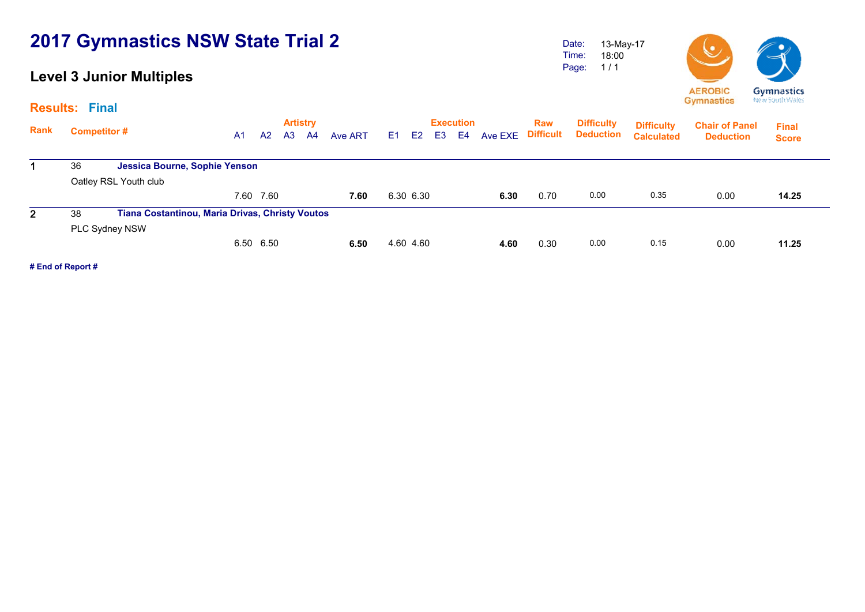### **Level 3 Junior Multiples**

Date: Time: Page: 13-May-17 18:00 1 / 1



|                | <b>Results: Final</b> |                                                 |    |           |    |                       |         |                |                |                |                                    |         |                                |                                       |                                        |                                           |                              |  |
|----------------|-----------------------|-------------------------------------------------|----|-----------|----|-----------------------|---------|----------------|----------------|----------------|------------------------------------|---------|--------------------------------|---------------------------------------|----------------------------------------|-------------------------------------------|------------------------------|--|
| Rank           |                       | <b>Competitor #</b>                             | A1 | A2        | A3 | <b>Artistry</b><br>A4 | Ave ART | E <sub>1</sub> | E <sub>2</sub> | E <sub>3</sub> | <b>Execution</b><br>E <sub>4</sub> | Ave EXE | <b>Raw</b><br><b>Difficult</b> | <b>Difficulty</b><br><b>Deduction</b> | <b>Difficulty</b><br><b>Calculated</b> | <b>Chair of Panel</b><br><b>Deduction</b> | <b>Final</b><br><b>Score</b> |  |
|                | 36                    | Jessica Bourne, Sophie Yenson                   |    |           |    |                       |         |                |                |                |                                    |         |                                |                                       |                                        |                                           |                              |  |
|                |                       | Oatley RSL Youth club                           |    |           |    |                       |         |                |                |                |                                    |         |                                |                                       |                                        |                                           |                              |  |
|                |                       |                                                 |    | 7.60 7.60 |    |                       | 7.60    |                | 6.30 6.30      |                |                                    | 6.30    | 0.70                           | 0.00                                  | 0.35                                   | 0.00                                      | 14.25                        |  |
| $\overline{2}$ | 38                    | Tiana Costantinou, Maria Drivas, Christy Voutos |    |           |    |                       |         |                |                |                |                                    |         |                                |                                       |                                        |                                           |                              |  |
|                |                       | PLC Sydney NSW                                  |    |           |    |                       |         |                |                |                |                                    |         |                                |                                       |                                        |                                           |                              |  |
|                |                       |                                                 |    | 6.50 6.50 |    |                       | 6.50    |                | 4.60 4.60      |                |                                    | 4.60    | 0.30                           | 0.00                                  | 0.15                                   | 0.00                                      | 11.25                        |  |
|                |                       |                                                 |    |           |    |                       |         |                |                |                |                                    |         |                                |                                       |                                        |                                           |                              |  |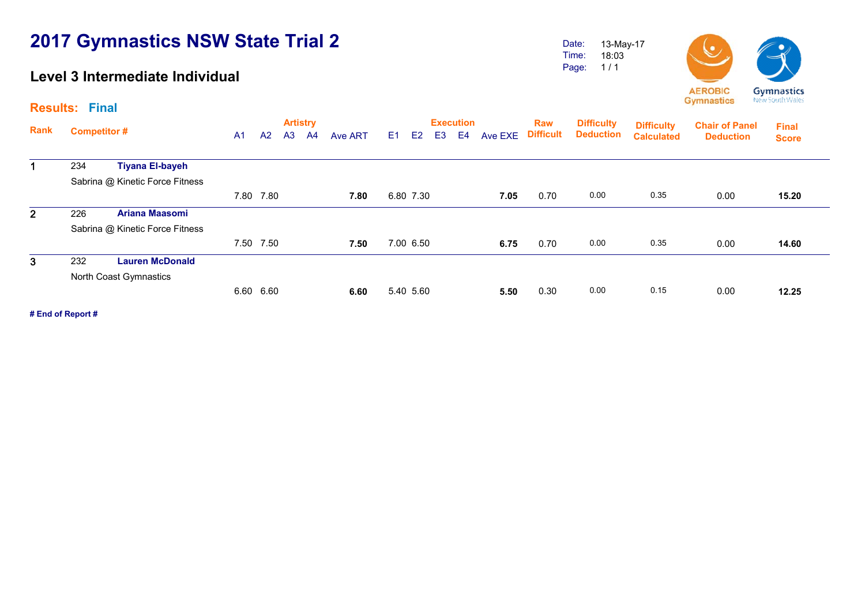### **Level 3 Intermediate Individual**

Date: Time: Page: 13-May-17 18:03 1 / 1



|                | <b>Results: Final</b> |                                 |                |           |                |                                   |         |    |                |                |                                    |         |                                |                                       |                                        |                                           |                              |
|----------------|-----------------------|---------------------------------|----------------|-----------|----------------|-----------------------------------|---------|----|----------------|----------------|------------------------------------|---------|--------------------------------|---------------------------------------|----------------------------------------|-------------------------------------------|------------------------------|
| Rank           | <b>Competitor#</b>    |                                 | A <sub>1</sub> | A2        | A <sub>3</sub> | <b>Artistry</b><br>A <sup>4</sup> | Ave ART | E1 | E <sub>2</sub> | E <sub>3</sub> | <b>Execution</b><br>E <sub>4</sub> | Ave EXE | <b>Raw</b><br><b>Difficult</b> | <b>Difficulty</b><br><b>Deduction</b> | <b>Difficulty</b><br><b>Calculated</b> | <b>Chair of Panel</b><br><b>Deduction</b> | <b>Final</b><br><b>Score</b> |
| $\mathbf 1$    | 234                   | <b>Tiyana El-bayeh</b>          |                |           |                |                                   |         |    |                |                |                                    |         |                                |                                       |                                        |                                           |                              |
|                |                       | Sabrina @ Kinetic Force Fitness |                |           |                |                                   |         |    |                |                |                                    |         |                                |                                       |                                        |                                           |                              |
|                |                       |                                 |                | 7.80 7.80 |                |                                   | 7.80    |    | 6.80 7.30      |                |                                    | 7.05    | 0.70                           | 0.00                                  | 0.35                                   | 0.00                                      | 15.20                        |
| 2 <sup>1</sup> | 226                   | <b>Ariana Maasomi</b>           |                |           |                |                                   |         |    |                |                |                                    |         |                                |                                       |                                        |                                           |                              |
|                |                       | Sabrina @ Kinetic Force Fitness |                |           |                |                                   |         |    |                |                |                                    |         |                                |                                       |                                        |                                           |                              |
|                |                       |                                 | 7.50           | 7.50      |                |                                   | 7.50    |    | 7.00 6.50      |                |                                    | 6.75    | 0.70                           | 0.00                                  | 0.35                                   | 0.00                                      | 14.60                        |
| 3              | 232                   | <b>Lauren McDonald</b>          |                |           |                |                                   |         |    |                |                |                                    |         |                                |                                       |                                        |                                           |                              |
|                |                       | North Coast Gymnastics          |                |           |                |                                   |         |    |                |                |                                    |         |                                |                                       |                                        |                                           |                              |
|                |                       |                                 |                | 6.60 6.60 |                |                                   | 6.60    |    | 5.40 5.60      |                |                                    | 5.50    | 0.30                           | 0.00                                  | 0.15                                   | 0.00                                      | 12.25                        |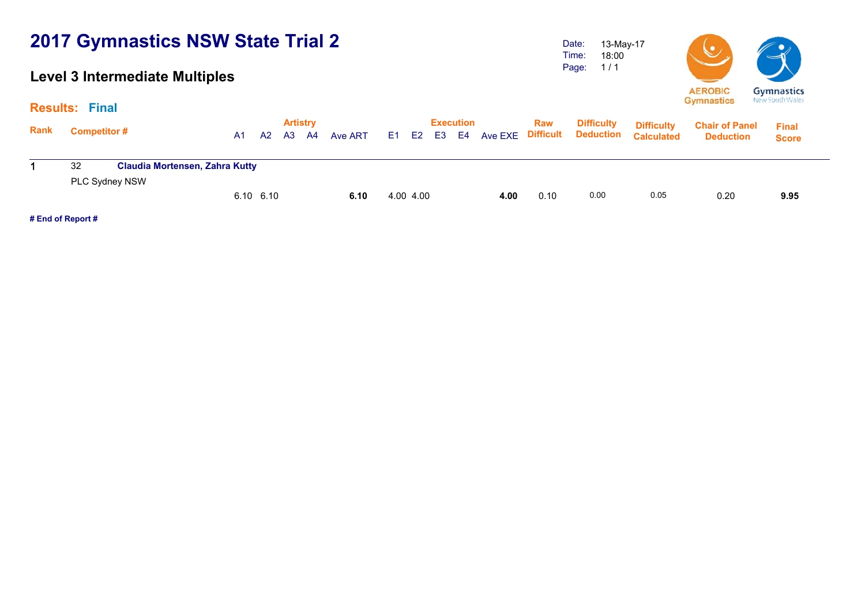### **Level 3 Intermediate Multiples**

Date: Time: Page: 13-May-17 18:00 1 / 1



|      | <b>Results: Final</b>                                       |  |    |                |                |                       |         |    |           |    |                        |         |                         |                                       |                                        |                                           |                              |  |
|------|-------------------------------------------------------------|--|----|----------------|----------------|-----------------------|---------|----|-----------|----|------------------------|---------|-------------------------|---------------------------------------|----------------------------------------|-------------------------------------------|------------------------------|--|
| Rank | Competitor #<br><b>Claudia Mortensen, Zahra Kutty</b><br>32 |  | A1 | A <sub>2</sub> | A <sub>3</sub> | <b>Artistry</b><br>A4 | Ave ART | E1 | E2        | E3 | <b>Execution</b><br>E4 | Ave EXE | Raw<br><b>Difficult</b> | <b>Difficulty</b><br><b>Deduction</b> | <b>Difficulty</b><br><b>Calculated</b> | <b>Chair of Panel</b><br><b>Deduction</b> | <b>Final</b><br><b>Score</b> |  |
|      | PLC Sydney NSW                                              |  |    |                |                |                       |         |    |           |    |                        |         |                         |                                       |                                        |                                           |                              |  |
|      |                                                             |  |    | 6.10 6.10      |                |                       | 6.10    |    | 4.00 4.00 |    |                        | 4.00    | 0.10                    | 0.00                                  | 0.05                                   | 0.20                                      | 9.95                         |  |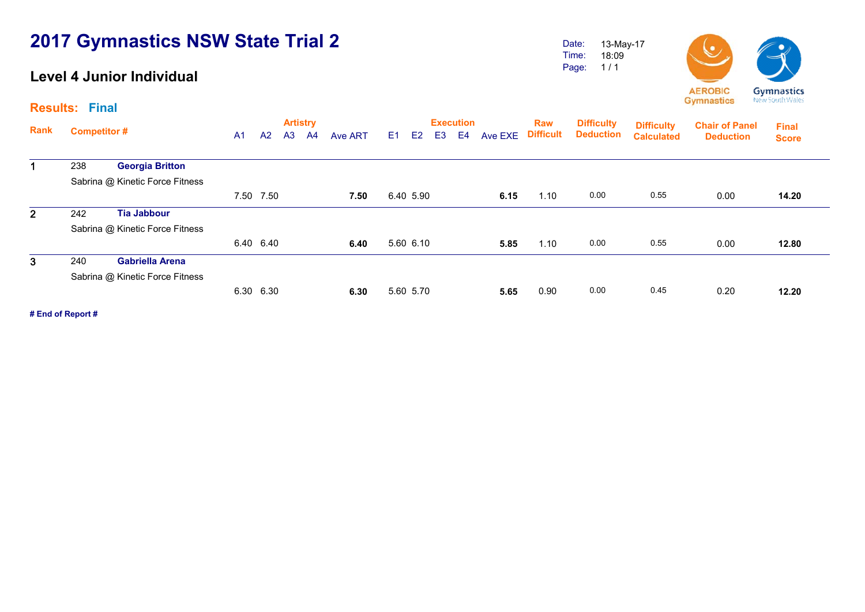### **Level 4 Junior Individual**

Date: Time: Page: 13-May-17 18:09 1 / 1



|              | <b>Results: Final</b> |                                 |                |                |                |                       |         |    |                |                |                                    |         |                         |                                       |                                        |                                           |                              |
|--------------|-----------------------|---------------------------------|----------------|----------------|----------------|-----------------------|---------|----|----------------|----------------|------------------------------------|---------|-------------------------|---------------------------------------|----------------------------------------|-------------------------------------------|------------------------------|
| <b>Rank</b>  | <b>Competitor#</b>    |                                 | A <sub>1</sub> | A <sup>2</sup> | A <sub>3</sub> | <b>Artistry</b><br>A4 | Ave ART | E1 | E <sub>2</sub> | E <sub>3</sub> | <b>Execution</b><br>E <sub>4</sub> | Ave EXE | Raw<br><b>Difficult</b> | <b>Difficulty</b><br><b>Deduction</b> | <b>Difficulty</b><br><b>Calculated</b> | <b>Chair of Panel</b><br><b>Deduction</b> | <b>Final</b><br><b>Score</b> |
|              | 238                   | <b>Georgia Britton</b>          |                |                |                |                       |         |    |                |                |                                    |         |                         |                                       |                                        |                                           |                              |
|              |                       | Sabrina @ Kinetic Force Fitness |                |                |                |                       |         |    |                |                |                                    |         |                         |                                       |                                        |                                           |                              |
|              |                       |                                 |                | 7.50 7.50      |                |                       | 7.50    |    | 6.40 5.90      |                |                                    | 6.15    | 1.10                    | 0.00                                  | 0.55                                   | 0.00                                      | 14.20                        |
| $\mathbf{2}$ | 242                   | <b>Tia Jabbour</b>              |                |                |                |                       |         |    |                |                |                                    |         |                         |                                       |                                        |                                           |                              |
|              |                       | Sabrina @ Kinetic Force Fitness |                |                |                |                       |         |    |                |                |                                    |         |                         |                                       |                                        |                                           |                              |
|              |                       |                                 |                | 6.40 6.40      |                |                       | 6.40    |    | 5.60 6.10      |                |                                    | 5.85    | 1.10                    | 0.00                                  | 0.55                                   | 0.00                                      | 12.80                        |
| 3            | 240                   | <b>Gabriella Arena</b>          |                |                |                |                       |         |    |                |                |                                    |         |                         |                                       |                                        |                                           |                              |
|              |                       | Sabrina @ Kinetic Force Fitness |                |                |                |                       |         |    |                |                |                                    |         |                         |                                       |                                        |                                           |                              |
|              |                       |                                 |                | 6.30 6.30      |                |                       | 6.30    |    | 5.60 5.70      |                |                                    | 5.65    | 0.90                    | 0.00                                  | 0.45                                   | 0.20                                      | 12.20                        |
|              |                       |                                 |                |                |                |                       |         |    |                |                |                                    |         |                         |                                       |                                        |                                           |                              |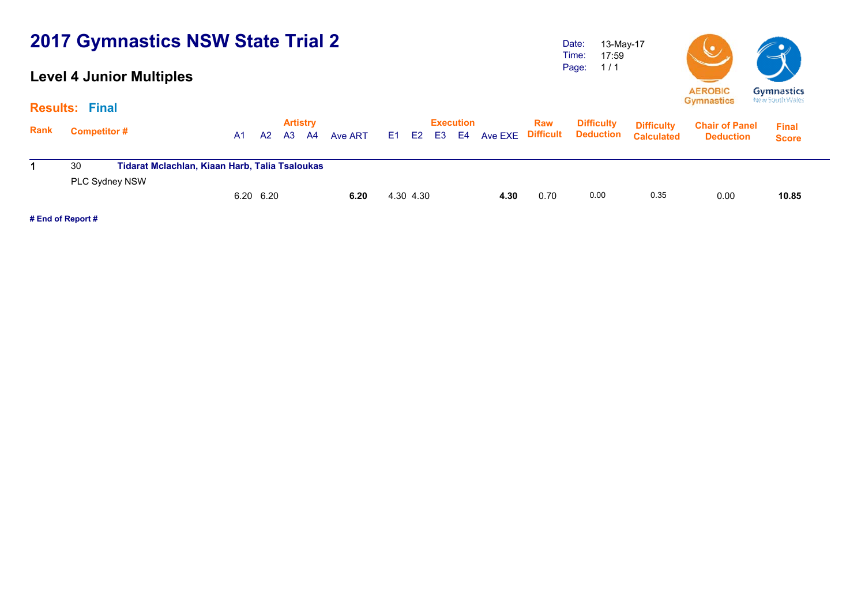### **Level 4 Junior Multiples**

Date: Time: Page: 13-May-17 17:59 1 / 1



| <b>Results:</b> | <b>Final</b>       |                                                |    |           |    |                       |         |      |                |    |                        |                |                         |                                       |                                        |                                           |                              |  |
|-----------------|--------------------|------------------------------------------------|----|-----------|----|-----------------------|---------|------|----------------|----|------------------------|----------------|-------------------------|---------------------------------------|----------------------------------------|-------------------------------------------|------------------------------|--|
| <b>Rank</b>     | <b>Competitor#</b> |                                                | A1 | A2        | A3 | <b>Artistry</b><br>A4 | Ave ART | E1 = | E <sub>2</sub> | E3 | <b>Execution</b><br>E4 | <b>Ave EXE</b> | Raw<br><b>Difficult</b> | <b>Difficulty</b><br><b>Deduction</b> | <b>Difficulty</b><br><b>Calculated</b> | <b>Chair of Panel</b><br><b>Deduction</b> | <b>Final</b><br><b>Score</b> |  |
|                 | 30                 | Tidarat Mclachlan, Kiaan Harb, Talia Tsaloukas |    |           |    |                       |         |      |                |    |                        |                |                         |                                       |                                        |                                           |                              |  |
|                 | PLC Sydney NSW     |                                                |    | 6.20 6.20 |    |                       | 6.20    |      | 4.30 4.30      |    |                        | 4.30           | 0.70                    | 0.00                                  | 0.35                                   | 0.00                                      | 10.85                        |  |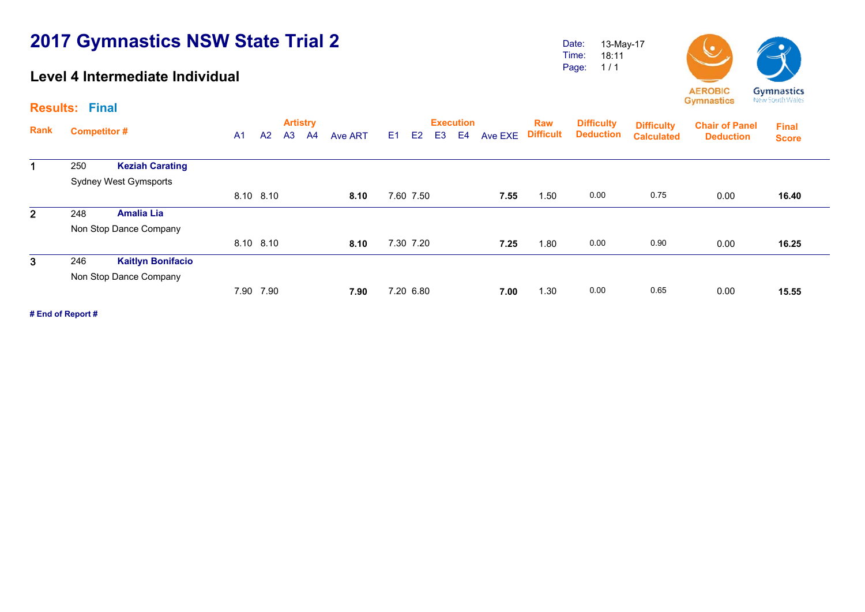### **Level 4 Intermediate Individual**

Date: Time: Page: 13-May-17 18:11 1 / 1



15.55

**Artistry Execution Rank**Execution Raw Difficulty <sub>Diffic</sub>ulty<br>A1 A2 A3 A4 Ave ART E1 E2 E3 E4 Ave EXE Difficult Deduction <sub>Calculate</sub> **Chair of Panel Deduction Results: Final Final Score Difficulty Deduction Difficulty Calculated**1 250 **Keziah Carating** Sydney West Gymsports 8.10 8.10 **8.10** 7.60 7.50 **7.55** 1.50 0.00 0.75 0.00 **16.40**16.40 2 248 **Amalia Lia** Non Stop Dance Company 8.10 8.10 **8.10** 7.30 7.20 **7.25** 1.80 0.00 0.90 0.00 **16.25**16.25 3 246 **Kaitlyn Bonifacio** Non Stop Dance Company 7.20 6.80 **7.00** 1.30 0.00 0.65 0.00 **15.55**

7.90 7.90 **7.90**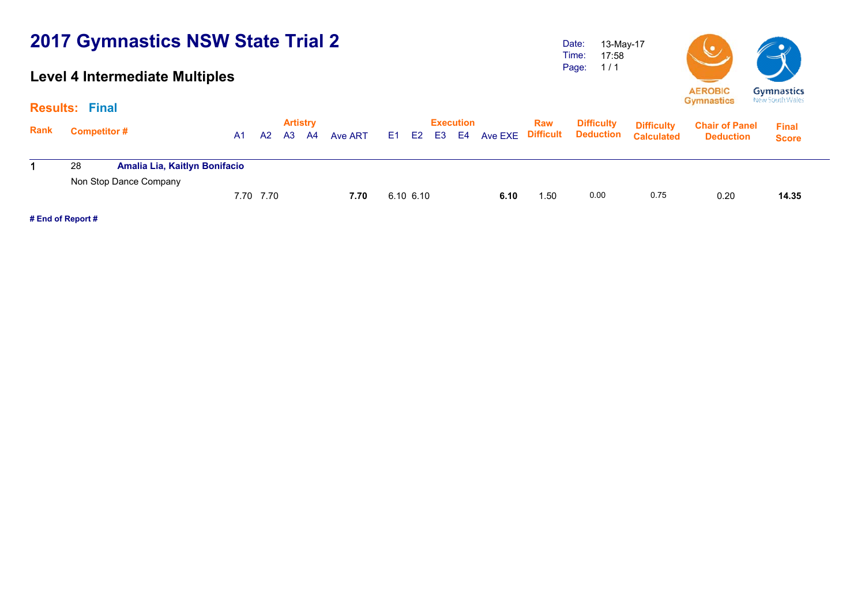### **Level 4 Intermediate Multiples**

Date: Time: Page: 13-May-17 17:58 1 / 1



|             | <b>Results: Final</b> |                               |    |           |                       |    |         |      |                |                           |      |                          |                                       |                                        |                                           |                              |  |
|-------------|-----------------------|-------------------------------|----|-----------|-----------------------|----|---------|------|----------------|---------------------------|------|--------------------------|---------------------------------------|----------------------------------------|-------------------------------------------|------------------------------|--|
| <b>Rank</b> | <b>Competitor#</b>    |                               | A1 | A2        | <b>Artistry</b><br>A3 | A4 | Ave ART | E1 = | E <sub>2</sub> | <b>Execution</b><br>E3 E4 |      | Raw<br>Ave EXE Difficult | <b>Difficulty</b><br><b>Deduction</b> | <b>Difficulty</b><br><b>Calculated</b> | <b>Chair of Panel</b><br><b>Deduction</b> | <b>Final</b><br><b>Score</b> |  |
|             | 28                    | Amalia Lia, Kaitlyn Bonifacio |    |           |                       |    |         |      |                |                           |      |                          |                                       |                                        |                                           |                              |  |
|             |                       | Non Stop Dance Company        |    | 7.70 7.70 |                       |    | 7.70    |      | $6.10\,6.10$   |                           | 6.10 | 1.50                     | 0.00                                  | 0.75                                   | 0.20                                      | 14.35                        |  |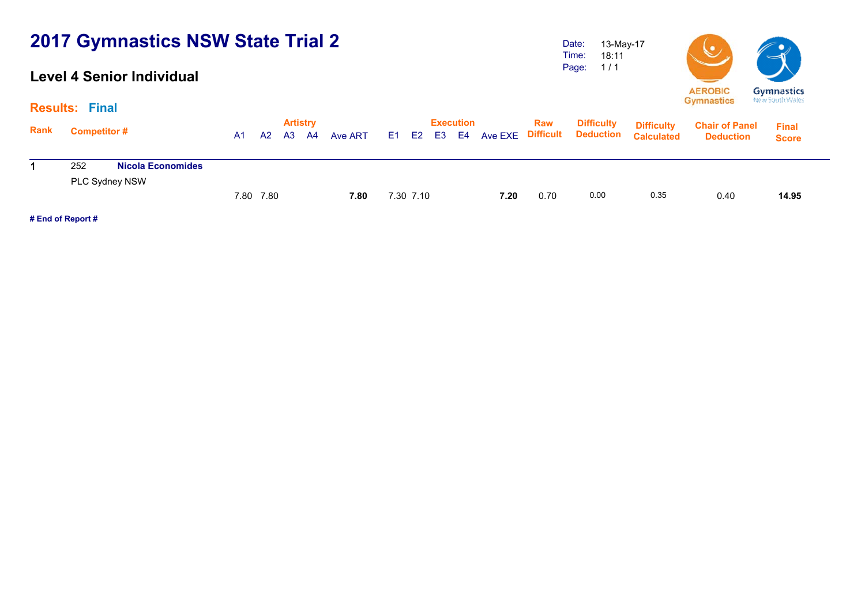#### **Level 4 Senior Individual**

18:11 1 / 1



|      | <b>Results: Final</b> |                          |           |    |    |                         |         |           |                  |                     |      |                                                 |                                        |                                           |                              |  |
|------|-----------------------|--------------------------|-----------|----|----|-------------------------|---------|-----------|------------------|---------------------|------|-------------------------------------------------|----------------------------------------|-------------------------------------------|------------------------------|--|
| Rank | <b>Competitor#</b>    |                          | A1.       | A2 | A3 | <b>Artistry</b><br>- A4 | Ave ART |           | <b>Execution</b> | E1 E2 E3 E4 Ave EXE | Raw  | <b>Difficulty</b><br><b>Difficult Deduction</b> | <b>Difficulty</b><br><b>Calculated</b> | <b>Chair of Panel</b><br><b>Deduction</b> | <b>Final</b><br><b>Score</b> |  |
|      | 252                   | <b>Nicola Economides</b> |           |    |    |                         |         |           |                  |                     |      |                                                 |                                        |                                           |                              |  |
|      |                       | PLC Sydney NSW           |           |    |    |                         |         |           |                  |                     |      |                                                 |                                        |                                           |                              |  |
|      |                       |                          | 7.80 7.80 |    |    |                         | 7.80    | 7.30 7.10 |                  | 7.20                | 0.70 | 0.00                                            | 0.35                                   | 0.40                                      | 14.95                        |  |

**# End of Report #**

Date: Time: Page: 13-May-17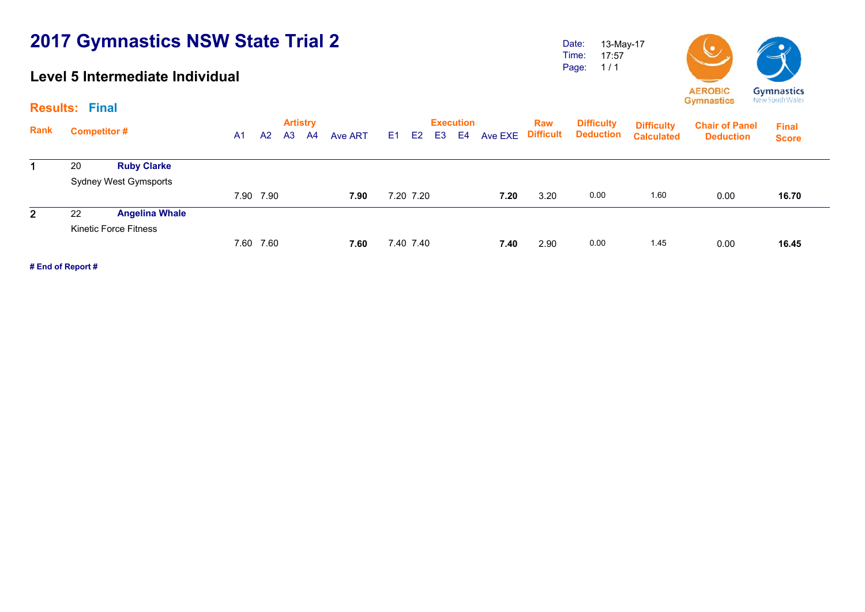### **Level 5 Intermediate Individual**

Date: Time: Page: 13-May-17 17:57 1 / 1



**Artistry Execution Rank**Execution Raw Difficulty <sub>Diffic</sub>ulty<br>A1 A2 A3 A4 Ave ART E1 E2 E3 E4 Ave EXE Difficult Deduction <sub>Calculate</sub> **Chair of Panel Deduction Results: Final Final Score Difficulty Deduction Difficulty Calculated**1 20 **Ruby Clarke** Sydney West Gymsports 7.90 7.90 **7.90** 7.20 7.20 **7.20** 3.20 0.00 1.60 0.00 **16.70**16.70 2 22 **Angelina Whale** Kinetic Force Fitness 7.60 7.60 **7.60** 7.40 7.40 **7.40** 2.90 0.00 1.45 0.00 **16.45**16.45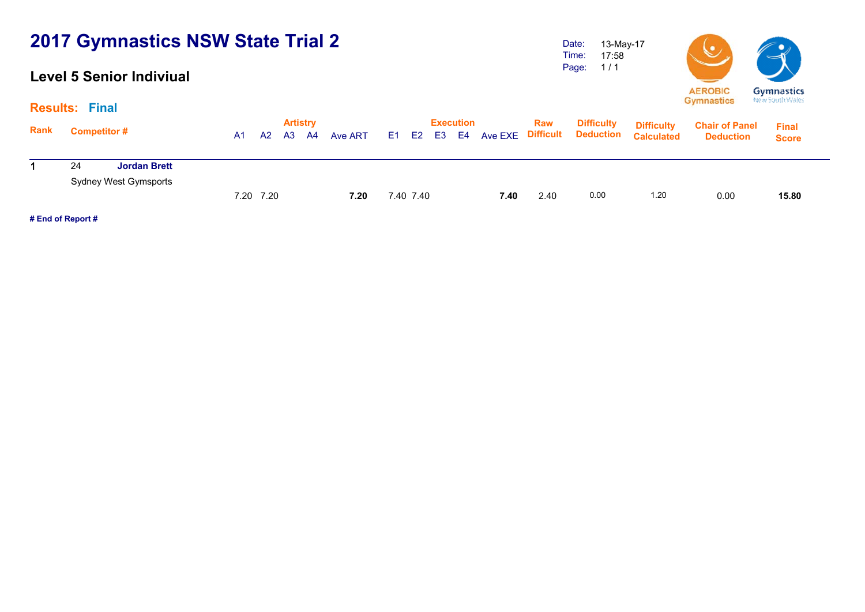### **Level 5 Senior Indiviual**

Date: Time: Page: 13-May-17 17:58 1 / 1



|             | <b>Results: Final</b> |                                              |    |           |    |                       |         |           |                  |      |      |                                                              |                                        |                                           |                              |
|-------------|-----------------------|----------------------------------------------|----|-----------|----|-----------------------|---------|-----------|------------------|------|------|--------------------------------------------------------------|----------------------------------------|-------------------------------------------|------------------------------|
| <b>Rank</b> | <b>Competitor#</b>    |                                              | A1 | A2        | A3 | <b>Artistry</b><br>A4 | Ave ART |           | <b>Execution</b> |      | Raw  | <b>Difficulty</b><br>E1 E2 E3 E4 Ave EXE Difficult Deduction | <b>Difficulty</b><br><b>Calculated</b> | <b>Chair of Panel</b><br><b>Deduction</b> | <b>Final</b><br><b>Score</b> |
|             | 24                    | <b>Jordan Brett</b><br>Sydney West Gymsports |    |           |    |                       |         |           |                  |      |      |                                                              |                                        |                                           |                              |
|             |                       |                                              |    | 7.20 7.20 |    |                       | 7.20    | 7.40 7.40 |                  | 7.40 | 2.40 | 0.00                                                         | 1.20                                   | 0.00                                      | 15.80                        |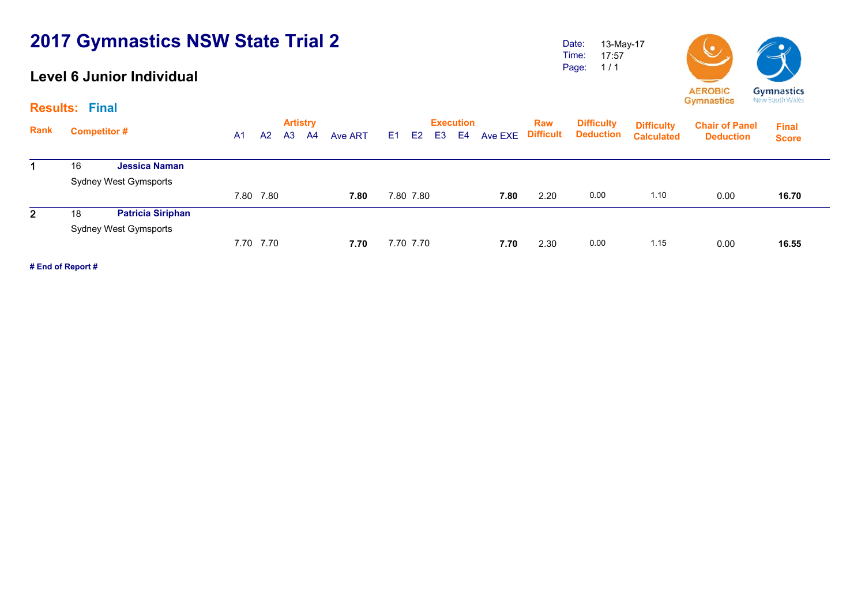### **Level 6 Junior Individual**

Date: Time: Page: 13-May-17 17:57 1 / 1



**Artistry Execution Rank**Execution Raw Difficulty <sub>Diffic</sub>ulty<br>A1 A2 A3 A4 Ave ART E1 E2 E3 E4 Ave EXE Difficult Deduction <sub>Calculate</sub> **Chair of Panel Deduction Results: Final Final Score Difficulty Deduction Difficulty Calculated**1 16 **Jessica Naman** Sydney West Gymsports 7.80 7.80 **7.80** 7.80 7.80 **7.80** 2.20 0.00 1.10 0.00 **16.70**16.70 2 18 **Patricia Siriphan** Sydney West Gymsports 7.70 7.70 **7.70** 7.70 7.70 **7.70** 2.30 0.00 1.15 0.00 **16.55**16.55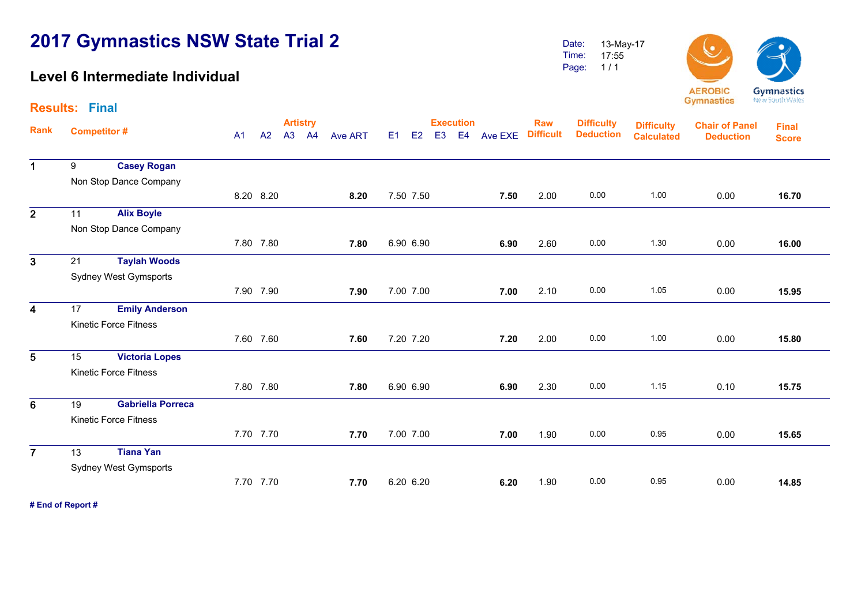### **Level 6 Intermediate Individual**

Date: Time: Page: 13-May-17 17:55 1 / 1



| <b>Results: Final</b>   |    |                              |    |           |                 |                |    |                      |                  |         |                  |                   |                   |                       |              |
|-------------------------|----|------------------------------|----|-----------|-----------------|----------------|----|----------------------|------------------|---------|------------------|-------------------|-------------------|-----------------------|--------------|
|                         |    |                              |    |           | <b>Artistry</b> |                |    |                      | <b>Execution</b> |         | <b>Raw</b>       | <b>Difficulty</b> | <b>Difficulty</b> | <b>Chair of Panel</b> | <b>Final</b> |
| Rank                    |    | <b>Competitor#</b>           | A1 | A2        | A3 A4           | <b>Ave ART</b> | E1 | E2<br>E <sub>3</sub> | E4               | Ave EXE | <b>Difficult</b> | <b>Deduction</b>  | <b>Calculated</b> | <b>Deduction</b>      | <b>Score</b> |
| $\mathbf 1$             | 9  | <b>Casey Rogan</b>           |    |           |                 |                |    |                      |                  |         |                  |                   |                   |                       |              |
|                         |    |                              |    |           |                 |                |    |                      |                  |         |                  |                   |                   |                       |              |
|                         |    | Non Stop Dance Company       |    |           |                 |                |    |                      |                  |         |                  |                   |                   |                       |              |
|                         |    |                              |    | 8.20 8.20 |                 | 8.20           |    | 7.50 7.50            |                  | 7.50    | 2.00             | 0.00              | 1.00              | 0.00                  | 16.70        |
| $\overline{2}$          | 11 | <b>Alix Boyle</b>            |    |           |                 |                |    |                      |                  |         |                  |                   |                   |                       |              |
|                         |    | Non Stop Dance Company       |    |           |                 |                |    |                      |                  |         |                  |                   |                   |                       |              |
|                         |    |                              |    | 7.80 7.80 |                 | 7.80           |    | 6.90 6.90            |                  | 6.90    | 2.60             | 0.00              | 1.30              | 0.00                  | 16.00        |
| $\overline{3}$          | 21 | <b>Taylah Woods</b>          |    |           |                 |                |    |                      |                  |         |                  |                   |                   |                       |              |
|                         |    | <b>Sydney West Gymsports</b> |    |           |                 |                |    |                      |                  |         |                  |                   |                   |                       |              |
|                         |    |                              |    | 7.90 7.90 |                 | 7.90           |    | 7.00 7.00            |                  | 7.00    | 2.10             | 0.00              | 1.05              | 0.00                  | 15.95        |
| $\overline{\mathbf{4}}$ | 17 | <b>Emily Anderson</b>        |    |           |                 |                |    |                      |                  |         |                  |                   |                   |                       |              |
|                         |    | <b>Kinetic Force Fitness</b> |    |           |                 |                |    |                      |                  |         |                  |                   |                   |                       |              |
|                         |    |                              |    | 7.60 7.60 |                 | 7.60           |    | 7.20 7.20            |                  | 7.20    | 2.00             | 0.00              | 1.00              | 0.00                  | 15.80        |
| 5                       | 15 | <b>Victoria Lopes</b>        |    |           |                 |                |    |                      |                  |         |                  |                   |                   |                       |              |
|                         |    | <b>Kinetic Force Fitness</b> |    |           |                 |                |    |                      |                  |         |                  |                   |                   |                       |              |
|                         |    |                              |    | 7.80 7.80 |                 | 7.80           |    | 6.90 6.90            |                  | 6.90    | 2.30             | 0.00              | 1.15              | 0.10                  | 15.75        |
| $6\phantom{1}$          | 19 | <b>Gabriella Porreca</b>     |    |           |                 |                |    |                      |                  |         |                  |                   |                   |                       |              |
|                         |    | <b>Kinetic Force Fitness</b> |    |           |                 |                |    |                      |                  |         |                  |                   |                   |                       |              |
|                         |    |                              |    | 7.70 7.70 |                 | 7.70           |    | 7.00 7.00            |                  | 7.00    | 1.90             | 0.00              | 0.95              | 0.00                  | 15.65        |
| $\overline{7}$          | 13 | <b>Tiana Yan</b>             |    |           |                 |                |    |                      |                  |         |                  |                   |                   |                       |              |
|                         |    | <b>Sydney West Gymsports</b> |    |           |                 |                |    |                      |                  |         |                  |                   |                   |                       |              |
|                         |    |                              |    | 7.70 7.70 |                 | 7.70           |    | 6.20 6.20            |                  | 6.20    | 1.90             | 0.00              | 0.95              | 0.00                  | 14.85        |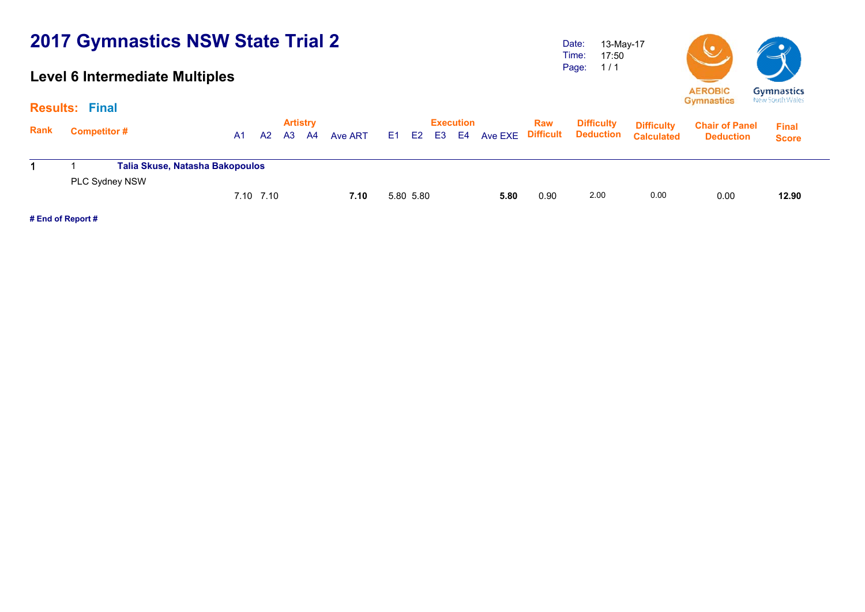### **Level 6 Intermediate Multiples**

Date: Time: Page: 13-May-17 17:50 1 / 1



| <b>Results:</b> | Final                                             |    |                |    |                       |         |     |           |    |                        |                |                         |                                       |                                        |                                           |                              |  |
|-----------------|---------------------------------------------------|----|----------------|----|-----------------------|---------|-----|-----------|----|------------------------|----------------|-------------------------|---------------------------------------|----------------------------------------|-------------------------------------------|------------------------------|--|
| Rank            | <b>Competitor #</b>                               | A1 | A <sub>2</sub> | A3 | <b>Artistry</b><br>A4 | Ave ART | E1. | E2        | E3 | <b>Execution</b><br>E4 | <b>Ave EXE</b> | <b>Raw</b><br>Difficult | <b>Difficulty</b><br><b>Deduction</b> | <b>Difficulty</b><br><b>Calculated</b> | <b>Chair of Panel</b><br><b>Deduction</b> | <b>Final</b><br><b>Score</b> |  |
|                 | Talia Skuse, Natasha Bakopoulos<br>PLC Sydney NSW |    |                |    |                       |         |     |           |    |                        |                |                         |                                       |                                        |                                           |                              |  |
|                 |                                                   |    | 7.10 7.10      |    |                       | 7.10    |     | 5.80 5.80 |    |                        | 5.80           | 0.90                    | 2.00                                  | 0.00                                   | 0.00                                      | 12.90                        |  |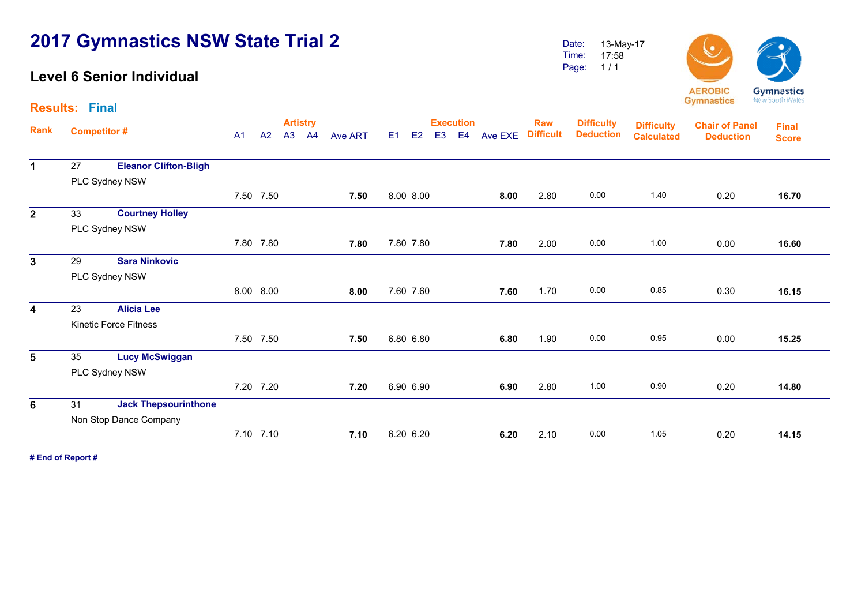### **Level 6 Senior Individual**

Date: Time: Page: 13-May-17 17:58 1 / 1



**Artistry Execution Rank**Execution Raw Difficulty <sub>Diffic</sub>ulty<br>A1 A2 A3 A4 Ave ART E1 E2 E3 E4 Ave EXE Difficult Deduction <sub>Calculate</sub> **Chair of Panel DeductionCalculatedDeduction Results: Final Final ScoreDifficulty Deduction Difficulty**  1 27 **Eleanor Clifton-Bligh** PLC Sydney NSW 7.50 7.50 **7.50** 8.00 8.00 **8.00** 2.80 0.00 1.40 0.20 **16.70**16.70 2 33 **Courtney Holley** PLC Sydney NSW 7.80 7.80 **7.80** 7.80 7.80 **7.80** 2.00 0.00 1.00 0.00 **16.60**16.60 3 29 **Sara Ninkovic** PLC Sydney NSW 8.00 8.00 **8.00** 7.60 7.60 **7.60** 1.70 0.00 0.85 0.30 **16.15**16.15 4 23 **Alicia Lee** Kinetic Force Fitness 7.50 7.50 **7.50** 6.80 6.80 **6.80** 1.90 0.00 0.95 0.00 **15.25**15.25 5 35 **Lucy McSwiggan** PLC Sydney NSW 7.20 7.20 **7.207.20 6.90 6.90 <b>6.90 6.90 2.80 1.00 0.90 0.20** 14.80 6 31 **Jack Thepsourinthone** Non Stop Dance Company 7.10 7.10 **7.107.10** 6.20 6.20 **6.20 6.20 2.10** 0.00 1.05 0.20 14.15 **# End of Report #**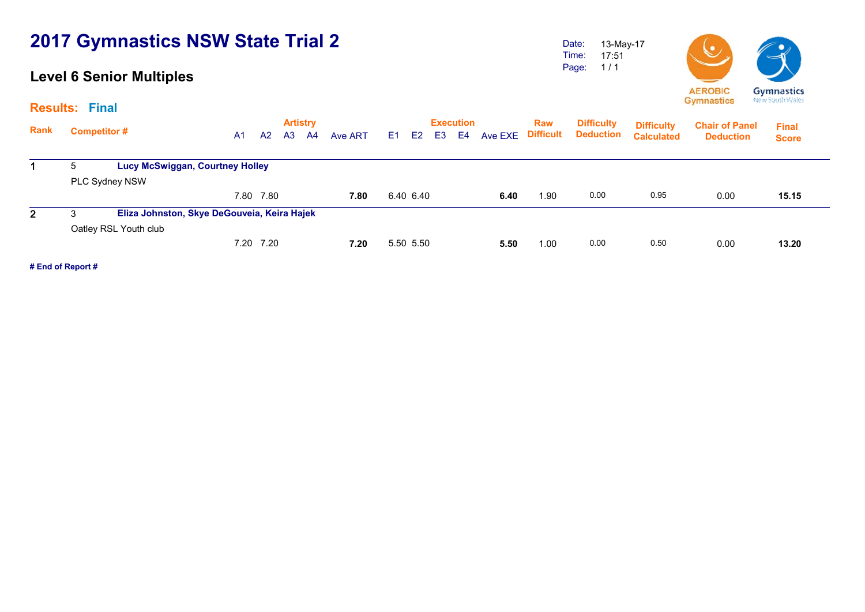### **Level 6 Senior Multiples**

Date: Time: Page: 13-May-17 17:51 1 / 1



|      | <b>Results: Final</b> |                                             |                |           |                |                       |         |      |           |                |                        |         |                         |                                       |                                        |                                           |                              |  |
|------|-----------------------|---------------------------------------------|----------------|-----------|----------------|-----------------------|---------|------|-----------|----------------|------------------------|---------|-------------------------|---------------------------------------|----------------------------------------|-------------------------------------------|------------------------------|--|
| Rank | <b>Competitor#</b>    |                                             | A <sub>1</sub> | A2        | A <sub>3</sub> | <b>Artistry</b><br>A4 | Ave ART | E1 = | E2        | E <sub>3</sub> | <b>Execution</b><br>E4 | Ave EXE | Raw<br><b>Difficult</b> | <b>Difficulty</b><br><b>Deduction</b> | <b>Difficulty</b><br><b>Calculated</b> | <b>Chair of Panel</b><br><b>Deduction</b> | <b>Final</b><br><b>Score</b> |  |
|      | 5                     | <b>Lucy McSwiggan, Courtney Holley</b>      |                |           |                |                       |         |      |           |                |                        |         |                         |                                       |                                        |                                           |                              |  |
|      |                       | PLC Sydney NSW                              |                |           |                |                       |         |      |           |                |                        |         |                         |                                       |                                        |                                           |                              |  |
|      |                       |                                             |                | 7.80 7.80 |                |                       | 7.80    |      | 6.40 6.40 |                |                        | 6.40    | 1.90                    | 0.00                                  | 0.95                                   | 0.00                                      | 15.15                        |  |
| 2    | 3                     | Eliza Johnston, Skye DeGouveia, Keira Hajek |                |           |                |                       |         |      |           |                |                        |         |                         |                                       |                                        |                                           |                              |  |
|      |                       | Oatley RSL Youth club                       |                |           |                |                       |         |      |           |                |                        |         |                         |                                       |                                        |                                           |                              |  |
|      |                       |                                             |                | 7.20 7.20 |                |                       | 7.20    |      | 5.50 5.50 |                |                        | 5.50    | 1.00                    | 0.00                                  | 0.50                                   | 0.00                                      | 13.20                        |  |
|      |                       |                                             |                |           |                |                       |         |      |           |                |                        |         |                         |                                       |                                        |                                           |                              |  |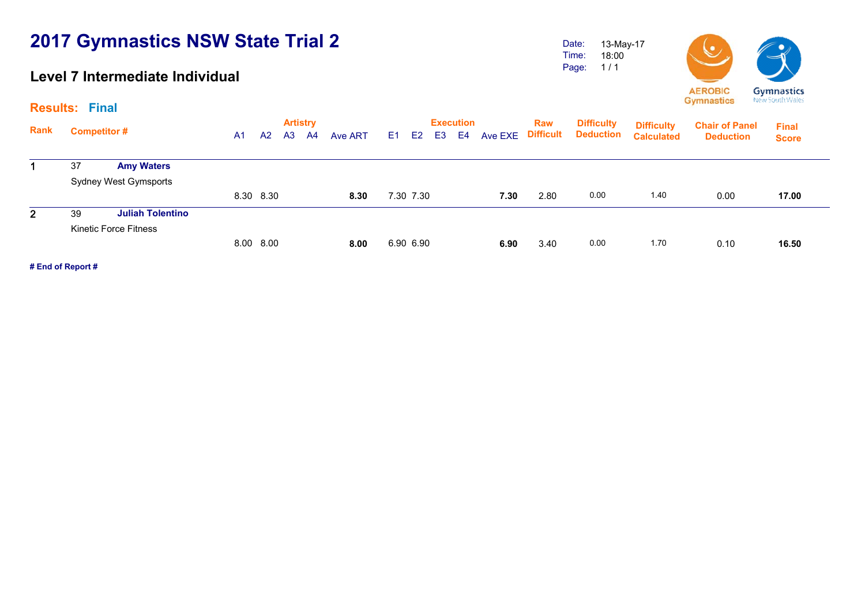### **Level 7 Intermediate Individual**

Date: Time: Page: 13-May-17 18:00 1 / 1



|                                 |                    |    |                |                        |                 |    |                |      |                        |      | <b>Raw</b>       | <b>Difficulty</b> |                   | <b>Chair of Panel</b> | <b>Final</b> |
|---------------------------------|--------------------|----|----------------|------------------------|-----------------|----|----------------|------|------------------------|------|------------------|-------------------|-------------------|-----------------------|--------------|
| Rank<br><b>Amy Waters</b><br>37 | A <sub>1</sub>     | A2 | A <sub>3</sub> | A4                     | Ave ART         | E1 | E <sub>2</sub> | E3 I | E4                     |      |                  | <b>Deduction</b>  | <b>Calculated</b> | <b>Deduction</b>      | <b>Score</b> |
|                                 |                    |    |                |                        |                 |    |                |      |                        |      |                  |                   |                   |                       |              |
|                                 |                    |    |                |                        |                 |    |                |      |                        |      |                  |                   |                   |                       |              |
| Sydney West Gymsports           |                    |    |                |                        |                 |    |                |      |                        |      |                  |                   |                   |                       |              |
|                                 |                    |    |                |                        | 8.30            |    |                |      |                        | 7.30 | 2.80             | 0.00              | 1.40              | 0.00                  | 17.00        |
| <b>Juliah Tolentino</b><br>39   |                    |    |                |                        |                 |    |                |      |                        |      |                  |                   |                   |                       |              |
| <b>Kinetic Force Fitness</b>    |                    |    |                |                        |                 |    |                |      |                        |      |                  |                   |                   |                       |              |
|                                 |                    |    |                |                        | 8.00            |    |                |      |                        | 6.90 | 3.40             | 0.00              | 1.70              | 0.10                  | 16.50        |
|                                 | <b>Competitor#</b> |    |                | 8.30 8.30<br>8.00 8.00 | <b>Artistry</b> |    |                |      | 7.30 7.30<br>6.90 6.90 |      | <b>Execution</b> |                   | Ave EXE Difficult | <b>Difficulty</b>     |              |

**# End of Report #**

**Results: Final**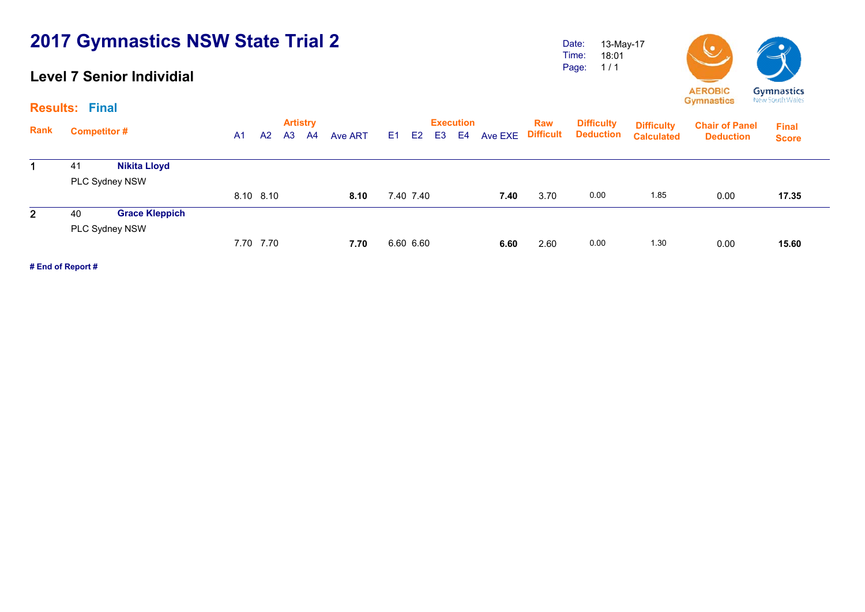### **Level 7 Senior Individial**

Page: 18:01 1 / 1



**Artistry Execution Rank**Execution Raw Difficulty <sub>Diffic</sub>ulty<br>A1 A2 A3 A4 Ave ART E1 E2 E3 E4 Ave EXE Difficult Deduction <sub>Calculate</sub> **Chair of Panel Deduction Final Score Difficulty Deduction Difficulty Calculated**1 41 **Nikita Lloyd** PLC Sydney NSW 8.10 8.10 **8.10** 7.40 7.40 **7.40** 3.70 0.00 1.85 0.00 **17.35**17.35 2 40 **Grace Kleppich** PLC Sydney NSW 7.70 7.70 **7.70** 6.60 6.60 **6.60** 2.60 0.00 1.30 0.00 **15.60**15.60

**# End of Report #**

**Results: Final**

Date: Time: 13-May-17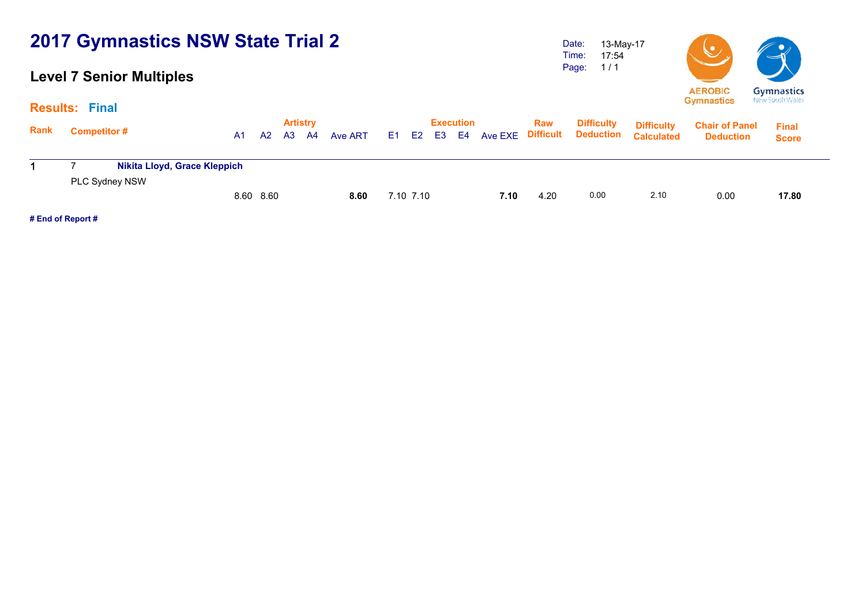### **Level 7 Senior Multiples**

Date: Time: Page: 13-May-17 17:54 1 / 1



|             | <b>Results: Final</b>        |                |    |                       |    |         |           |    |                        |      |                                        |                                       |                                        |                                           |                              |  |
|-------------|------------------------------|----------------|----|-----------------------|----|---------|-----------|----|------------------------|------|----------------------------------------|---------------------------------------|----------------------------------------|-------------------------------------------|------------------------------|--|
| <b>Rank</b> | <b>Competitor#</b>           | A <sub>1</sub> | A2 | <b>Artistry</b><br>A3 | A4 | Ave ART | E1 E2     | E3 | <b>Execution</b><br>E4 |      | <b>Raw</b><br><b>Ave EXE Difficult</b> | <b>Difficulty</b><br><b>Deduction</b> | <b>Difficulty</b><br><b>Calculated</b> | <b>Chair of Panel</b><br><b>Deduction</b> | <b>Final</b><br><b>Score</b> |  |
|             | Nikita Lloyd, Grace Kleppich |                |    |                       |    |         |           |    |                        |      |                                        |                                       |                                        |                                           |                              |  |
|             | PLC Sydney NSW               | 8.60 8.60      |    |                       |    | 8.60    | 7.10 7.10 |    |                        | 7.10 | 4.20                                   | 0.00                                  | 2.10                                   | 0.00                                      | 17.80                        |  |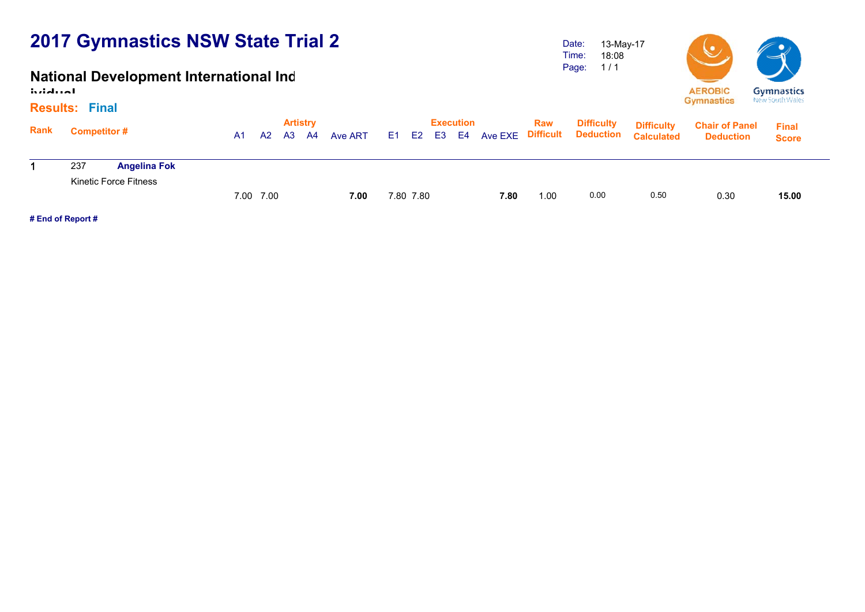### **National Development International Ind**

**ividual**

#### **Results: Final**

|             | Results: Final      |                              |           |    |                              |      |         |           |           |      |      |                   |                                                                         |                                           |                              |  |
|-------------|---------------------|------------------------------|-----------|----|------------------------------|------|---------|-----------|-----------|------|------|-------------------|-------------------------------------------------------------------------|-------------------------------------------|------------------------------|--|
| <b>Rank</b> | <b>Competitor #</b> |                              | A1        | A2 | <b>Artistry</b><br><b>A3</b> | - A4 | Ave ART |           | Execution |      | Raw  | <b>Difficulty</b> | <b>Difficulty</b><br>E1 E2 E3 E4 Ave EXE Difficult Deduction Calculated | <b>Chair of Panel</b><br><b>Deduction</b> | <b>Final</b><br><b>Score</b> |  |
|             |                     |                              |           |    |                              |      |         |           |           |      |      |                   |                                                                         |                                           |                              |  |
|             | 237                 | <b>Angelina Fok</b>          |           |    |                              |      |         |           |           |      |      |                   |                                                                         |                                           |                              |  |
|             |                     | <b>Kinetic Force Fitness</b> |           |    |                              |      |         |           |           |      |      |                   |                                                                         |                                           |                              |  |
|             |                     |                              | 7.00 7.00 |    |                              |      | 7.00    | 7.80 7.80 |           | 7.80 | 1.00 | 0.00              | 0.50                                                                    | 0.30                                      | 15.00                        |  |
|             |                     |                              |           |    |                              |      |         |           |           |      |      |                   |                                                                         |                                           |                              |  |

**# End of Report #**

Date: Time: Page: 13-May-17 18:08 1 / 1

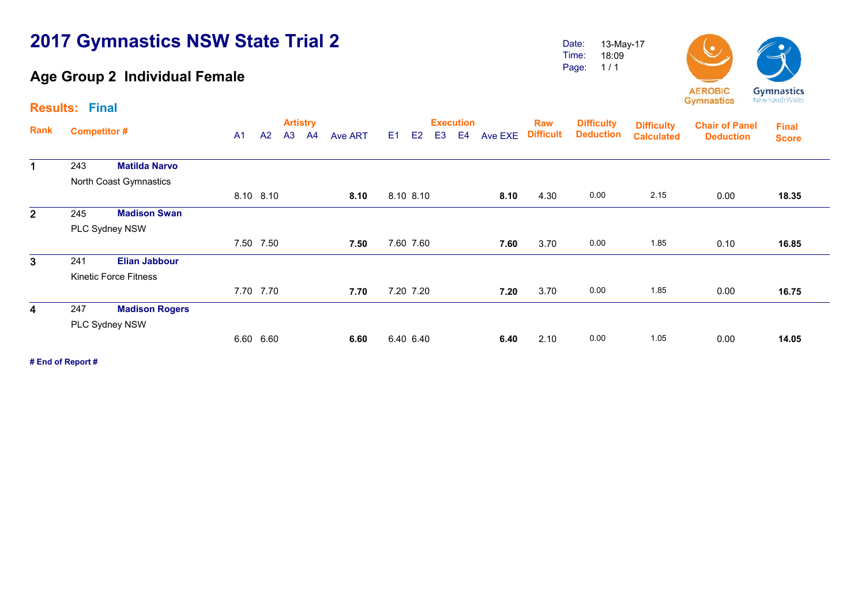### **Age Group 2 Individual Female**

Page: 18:09 1 / 1



**Artistry Execution Rank**Execution Raw Difficulty <sub>Diffic</sub>ulty<br>A1 A2 A3 A4 Ave ART E1 E2 E3 E4 Ave EXE Difficult Deduction <sub>Calculate</sub> **Chair of Panel DeductionDeduction Deduction Results: Final Final Score Difficulty Difficulty Calculated**1 243 **Matilda Narvo** North Coast Gymnastics 8.10 8.10 **8.10** 8.10 8.10 **8.10** 4.30 0.00 2.15 0.00 **18.35**18.35 2 245 **Madison Swan** PLC Sydney NSW 7.50 7.50 **7.50** 7.60 7.60 **7.60** 3.70 0.00 1.85 0.10 **16.85**16.85 3 241 **Elian Jabbour** Kinetic Force Fitness 7.70 7.70 **7.70** 7.20 7.20 **7.20** 3.70 0.00 1.85 0.00 **16.75**16.75 4 247 **Madison Rogers** PLC Sydney NSW 6.60 6.60 **6.60** 6.40 6.40 **6.40** 2.10 0.00 1.05 0.00 **14.05**14.05

**# End of Report #**

Date: Time: 13-May-17